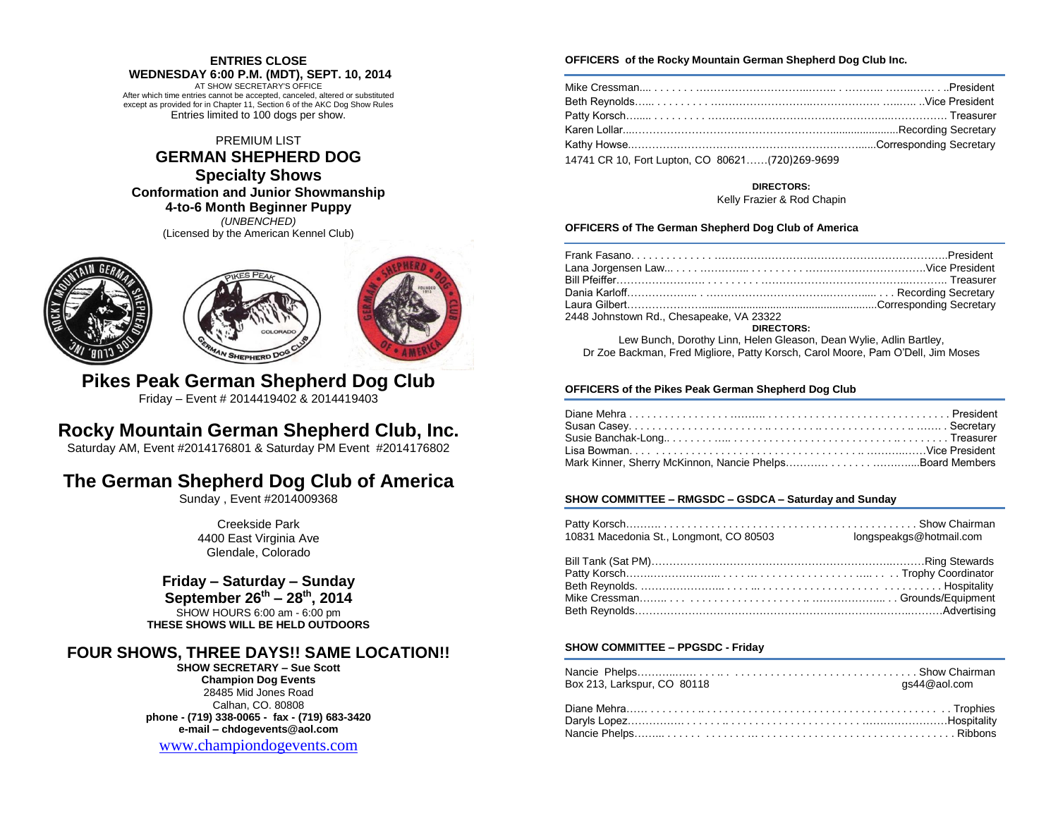## **ENTRIES CLOSE**

**WEDNESDAY 6:00 P.M. (MDT), SEPT. 10, 2014** AT SHOW SECRETARY'S OFFICE After which time entries cannot be accepted, canceled, altered or substituted except as provided for in Chapter 11, Section 6 of the AKC Dog Show Rules Entries limited to 100 dogs per show.

PREMIUM LIST

# **GERMAN SHEPHERD DOG**

# **Specialty Shows**

**Conformation and Junior Showmanship**

**4-to-6 Month Beginner Puppy**

*(UNBENCHED)* (Licensed by the American Kennel Club)







**Pikes Peak German Shepherd Dog Club** Friday – Event # 2014419402 & 2014419403

# **Rocky Mountain German Shepherd Club, Inc.**

Saturday AM, Event #2014176801 & Saturday PM Event #2014176802

# **The German Shepherd Dog Club of America**

Sunday , Event #2014009368

Creekside Park 4400 East Virginia Ave Glendale, Colorado

## **Friday – Saturday – Sunday**

**September 26th – 28th, 2014** SHOW HOURS 6:00 am - 6:00 pm **THESE SHOWS WILL BE HELD OUTDOORS**

## **FOUR SHOWS, THREE DAYS!! SAME LOCATION!!**

**SHOW SECRETARY – Sue Scott Champion Dog Events** 28485 Mid Jones Road Calhan, CO. 80808 **phone - (719) 338-0065 - fax - (719) 683-3420 e-mail – chdogevents@aol.com**

[www.championdogevents.com](http://www.championdogevents.com/)

### **OFFICERS of the Rocky Mountain German Shepherd Dog Club Inc.**

| Patty Korsch……… ……… ………………………………………………………………… Treasurer |  |
|---------------------------------------------------------|--|
|                                                         |  |
|                                                         |  |
| 14741 CR 10, Fort Lupton, CO 80621(720)269-9699         |  |

#### **DIRECTORS:** Kelly Frazier & Rod Chapin

### **OFFICERS of The German Shepherd Dog Club of America**

| 2448 Johnstown Rd., Chesapeake, VA 23322                           |  |
|--------------------------------------------------------------------|--|
| <b>DIRECTORS:</b>                                                  |  |
| Lew Bunch, Dorothy Linn, Helen Gleason, Dean Wylie, Adlin Bartley, |  |

Dr Zoe Backman, Fred Migliore, Patty Korsch, Carol Moore, Pam O'Dell, Jim Moses

### **OFFICERS of the Pikes Peak German Shepherd Dog Club**

### **SHOW COMMITTEE – RMGSDC – GSDCA – Saturday and Sunday**

| 10831 Macedonia St., Longmont, CO 80503 | longspeakgs@hotmail.com |
|-----------------------------------------|-------------------------|
|                                         |                         |
|                                         |                         |
|                                         |                         |
|                                         |                         |
|                                         |                         |

### **SHOW COMMITTEE – PPGSDC - Friday**

|                             | as44@aol.com |
|-----------------------------|--------------|
| Box 213, Larkspur, CO 80118 |              |
|                             |              |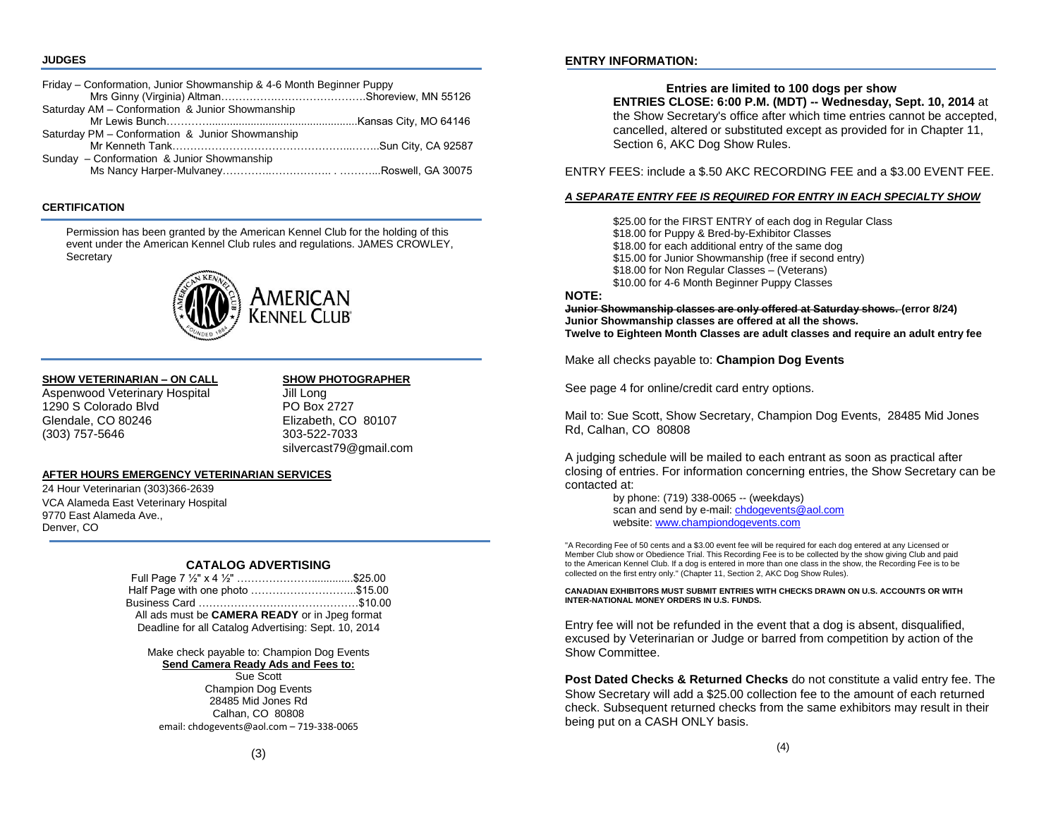#### **JUDGES**

| Friday – Conformation, Junior Showmanship & 4-6 Month Beginner Puppy |  |
|----------------------------------------------------------------------|--|
|                                                                      |  |
| Saturday AM - Conformation & Junior Showmanship                      |  |
|                                                                      |  |
| Saturday PM - Conformation & Junior Showmanship                      |  |
|                                                                      |  |
| Sunday - Conformation & Junior Showmanship                           |  |
|                                                                      |  |

#### **CERTIFICATION**

Permission has been granted by the American Kennel Club for the holding of this event under the American Kennel Club rules and regulations. JAMES CROWLEY, **Secretary** 



#### **SHOW VETERINARIAN – ON CALL SHOW PHOTOGRAPHER**

Aspenwood Veterinary Hospital **Jill Long** 1290 S Colorado Blvd **PO Box 2727** Glendale, CO 80246 Elizabeth, CO 80107 (303) 757-5646 303-522-7033

silvercast79@gmail.com

### **AFTER HOURS EMERGENCY VETERINARIAN SERVICES**

24 Hour Veterinarian (303)366-2639 VCA Alameda East Veterinary Hospital 9770 East Alameda Ave., Denver, CO

#### **CATALOG ADVERTISING**

| Half Page with one photo \$15.00                     |  |
|------------------------------------------------------|--|
|                                                      |  |
| All ads must be CAMERA READY or in Jpeg format       |  |
| Deadline for all Catalog Advertising: Sept. 10, 2014 |  |

Make check payable to: Champion Dog Events **Send Camera Ready Ads and Fees to:**

### Sue Scott

Champion Dog Events 28485 Mid Jones Rd Calhan, CO 80808 email: chdogevents@aol.com – 719-338-0065

### **ENTRY INFORMATION:**

### **Entries are limited to 100 dogs per show**

**ENTRIES CLOSE: 6:00 P.M. (MDT) -- Wednesday, Sept. 10, 2014** at the Show Secretary's office after which time entries cannot be accepted, cancelled, altered or substituted except as provided for in Chapter 11, Section 6, AKC Dog Show Rules.

ENTRY FEES: include a \$.50 AKC RECORDING FEE and a \$3.00 EVENT FEE.

#### *A SEPARATE ENTRY FEE IS REQUIRED FOR ENTRY IN EACH SPECIALTY SHOW*

\$25.00 for the FIRST ENTRY of each dog in Regular Class \$18.00 for Puppy & Bred-by-Exhibitor Classes \$18.00 for each additional entry of the same dog \$15.00 for Junior Showmanship (free if second entry) \$18.00 for Non Regular Classes – (Veterans) \$10.00 for 4-6 Month Beginner Puppy Classes

### **NOTE:**

**Junior Showmanship classes are only offered at Saturday shows. (error 8/24) Junior Showmanship classes are offered at all the shows. Twelve to Eighteen Month Classes are adult classes and require an adult entry fee**

Make all checks payable to: **Champion Dog Events**

See page 4 for online/credit card entry options.

Mail to: Sue Scott, Show Secretary, Champion Dog Events, 28485 Mid Jones Rd, Calhan, CO 80808

A judging schedule will be mailed to each entrant as soon as practical after closing of entries. For information concerning entries, the Show Secretary can be contacted at:

> by phone: (719) 338-0065 -- (weekdays) scan and send by e-mail[: chdogevents@aol.com](mailto:chdogevents@aol.com) website[: www.championdogevents.com](http://www.championdogevents.com/)

"A Recording Fee of 50 cents and a \$3.00 event fee will be required for each dog entered at any Licensed or Member Club show or Obedience Trial. This Recording Fee is to be collected by the show giving Club and paid to the American Kennel Club. If a dog is entered in more than one class in the show, the Recording Fee is to be collected on the first entry only." (Chapter 11, Section 2, AKC Dog Show Rules).

#### **CANADIAN EXHIBITORS MUST SUBMIT ENTRIES WITH CHECKS DRAWN ON U.S. ACCOUNTS OR WITH INTER-NATIONAL MONEY ORDERS IN U.S. FUNDS.**

Entry fee will not be refunded in the event that a dog is absent, disqualified, excused by Veterinarian or Judge or barred from competition by action of the Show Committee.

**Post Dated Checks & Returned Checks** do not constitute a valid entry fee. The Show Secretary will add a \$25.00 collection fee to the amount of each returned check. Subsequent returned checks from the same exhibitors may result in their being put on a CASH ONLY basis.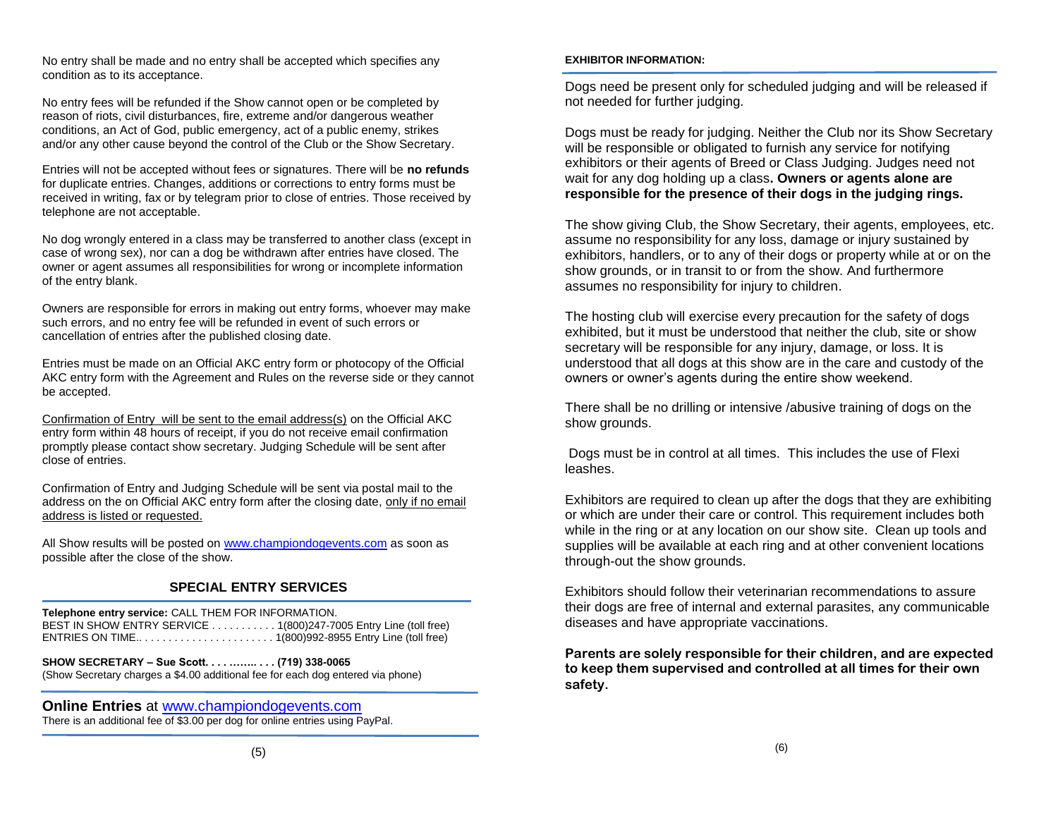No entry shall be made and no entry shall be accepted which specifies any condition as to its acceptance.

No entry fees will be refunded if the Show cannot open or be completed by reason of riots, civil disturbances, fire, extreme and/or dangerous weather conditions, an Act of God, public emergency, act of a public enemy, strikes and/or any other cause beyond the control of the Club or the Show Secretary.

Entries will not be accepted without fees or signatures. There will be **no refunds**  for duplicate entries. Changes, additions or corrections to entry forms must be received in writing, fax or by telegram prior to close of entries. Those received by telephone are not acceptable.

No dog wrongly entered in a class may be transferred to another class (except in case of wrong sex), nor can a dog be withdrawn after entries have closed. The owner or agent assumes all responsibilities for wrong or incomplete information of the entry blank.

Owners are responsible for errors in making out entry forms, whoever may make such errors, and no entry fee will be refunded in event of such errors or cancellation of entries after the published closing date.

Entries must be made on an Official AKC entry form or photocopy of the Official AKC entry form with the Agreement and Rules on the reverse side or they cannot be accepted.

Confirmation of Entry will be sent to the email address(s) on the Official AKC entry form within 48 hours of receipt, if you do not receive email confirmation promptly please contact show secretary. Judging Schedule will be sent after close of entries.

Confirmation of Entry and Judging Schedule will be sent via postal mail to the address on the on Official AKC entry form after the closing date, only if no email address is listed or requested.

All Show results will be posted o[n www.championdogevents.com](http://www.championdogevents.com/) as soon as possible after the close of the show.

## **SPECIAL ENTRY SERVICES**

**Telephone entry service:** CALL THEM FOR INFORMATION. BEST IN SHOW ENTRY SERVICE . . . . . . . . . . . 1(800)247-7005 Entry Line (toll free) ENTRIES ON TIME.. . . . . . . . . . . . . . . . . . . . . . . 1(800)992-8955 Entry Line (toll free)

**SHOW SECRETARY – Sue Scott. . . . …….. . . . (719) 338-0065** (Show Secretary charges a \$4.00 additional fee for each dog entered via phone)

**Online Entries** at [www.championdogevents.com](http://www.championdogevents.com/) There is an additional fee of \$3.00 per dog for online entries using PayPal.

### **EXHIBITOR INFORMATION:**

Dogs need be present only for scheduled judging and will be released if not needed for further judging.

Dogs must be ready for judging. Neither the Club nor its Show Secretary will be responsible or obligated to furnish any service for notifying exhibitors or their agents of Breed or Class Judging. Judges need not wait for any dog holding up a class**. Owners or agents alone are responsible for the presence of their dogs in the judging rings.**

The show giving Club, the Show Secretary, their agents, employees, etc. assume no responsibility for any loss, damage or injury sustained by exhibitors, handlers, or to any of their dogs or property while at or on the show grounds, or in transit to or from the show. And furthermore assumes no responsibility for injury to children.

The hosting club will exercise every precaution for the safety of dogs exhibited, but it must be understood that neither the club, site or show secretary will be responsible for any injury, damage, or loss. It is understood that all dogs at this show are in the care and custody of the owners or owner's agents during the entire show weekend.

There shall be no drilling or intensive /abusive training of dogs on the show grounds.

Dogs must be in control at all times. This includes the use of Flexi leashes.

Exhibitors are required to clean up after the dogs that they are exhibiting or which are under their care or control. This requirement includes both while in the ring or at any location on our show site. Clean up tools and supplies will be available at each ring and at other convenient locations through-out the show grounds.

Exhibitors should follow their veterinarian recommendations to assure their dogs are free of internal and external parasites, any communicable diseases and have appropriate vaccinations.

**Parents are solely responsible for their children, and are expected to keep them supervised and controlled at all times for their own safety.**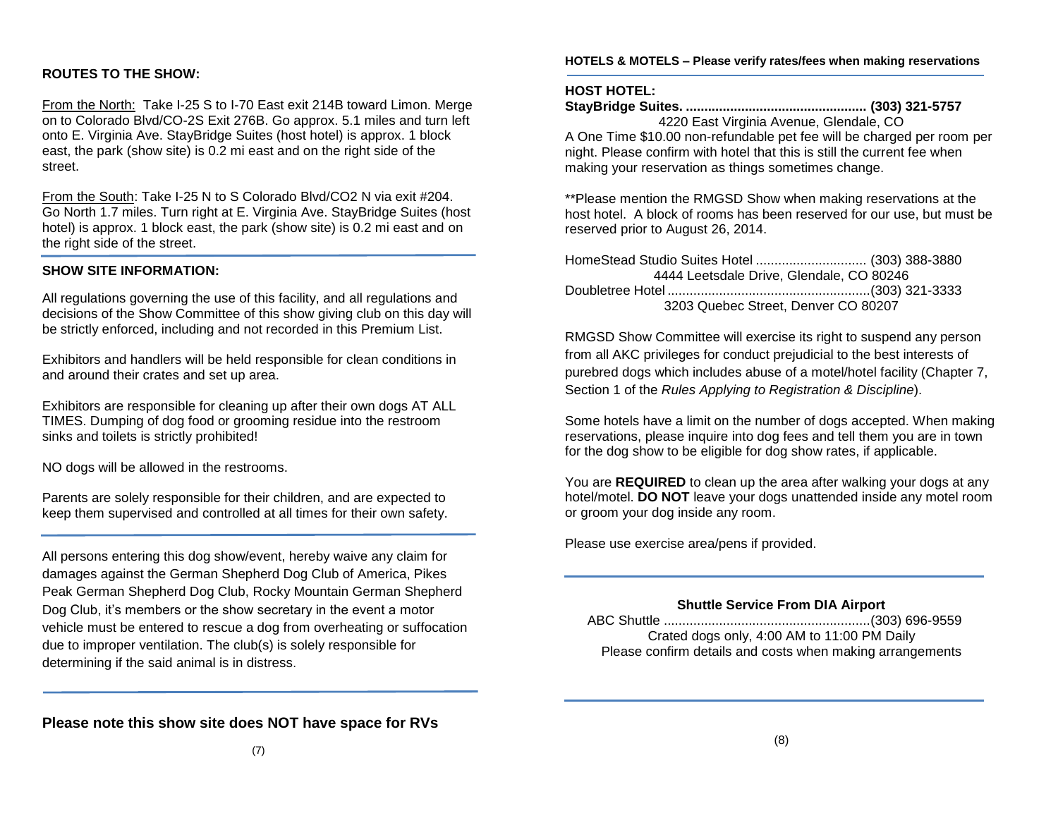## **ROUTES TO THE SHOW:**

From the North: Take I-25 S to I-70 East exit 214B toward Limon. Merge on to Colorado Blvd/CO-2S Exit 276B. Go approx. 5.1 miles and turn left onto E. Virginia Ave. StayBridge Suites (host hotel) is approx. 1 block east, the park (show site) is 0.2 mi east and on the right side of the street.

From the South: Take I-25 N to S Colorado Blvd/CO2 N via exit #204. Go North 1.7 miles. Turn right at E. Virginia Ave. StayBridge Suites (host hotel) is approx. 1 block east, the park (show site) is 0.2 mi east and on the right side of the street.

### **SHOW SITE INFORMATION:**

All regulations governing the use of this facility, and all regulations and decisions of the Show Committee of this show giving club on this day will be strictly enforced, including and not recorded in this Premium List.

Exhibitors and handlers will be held responsible for clean conditions in and around their crates and set up area.

Exhibitors are responsible for cleaning up after their own dogs AT ALL TIMES. Dumping of dog food or grooming residue into the restroom sinks and toilets is strictly prohibited!

NO dogs will be allowed in the restrooms.

Parents are solely responsible for their children, and are expected to keep them supervised and controlled at all times for their own safety.

All persons entering this dog show/event, hereby waive any claim for damages against the German Shepherd Dog Club of America, Pikes Peak German Shepherd Dog Club, Rocky Mountain German Shepherd Dog Club, it's members or the show secretary in the event a motor vehicle must be entered to rescue a dog from overheating or suffocation due to improper ventilation. The club(s) is solely responsible for determining if the said animal is in distress.

**HOTELS & MOTELS – Please verify rates/fees when making reservations**

### **HOST HOTEL:**

**StayBridge Suites. ................................................. (303) 321-5757** 4220 East Virginia Avenue, Glendale, CO

A One Time \$10.00 non-refundable pet fee will be charged per room per night. Please confirm with hotel that this is still the current fee when making your reservation as things sometimes change.

\*\*Please mention the RMGSD Show when making reservations at the host hotel. A block of rooms has been reserved for our use, but must be reserved prior to August 26, 2014.

HomeStead Studio Suites Hotel .............................. (303) 388-3880 4444 Leetsdale Drive, Glendale, CO 80246 Doubletree Hotel .......................................................(303) 321-3333 3203 Quebec Street, Denver CO 80207

RMGSD Show Committee will exercise its right to suspend any person from all AKC privileges for conduct prejudicial to the best interests of purebred dogs which includes abuse of a motel/hotel facility (Chapter 7, Section 1 of the *Rules Applying to Registration & Discipline*).

Some hotels have a limit on the number of dogs accepted. When making reservations, please inquire into dog fees and tell them you are in town for the dog show to be eligible for dog show rates, if applicable.

You are **REQUIRED** to clean up the area after walking your dogs at any hotel/motel. **DO NOT** leave your dogs unattended inside any motel room or groom your dog inside any room.

Please use exercise area/pens if provided.

### **Shuttle Service From DIA Airport**

| Crated dogs only, 4:00 AM to 11:00 PM Daily               |  |
|-----------------------------------------------------------|--|
| Please confirm details and costs when making arrangements |  |

**Please note this show site does NOT have space for RVs**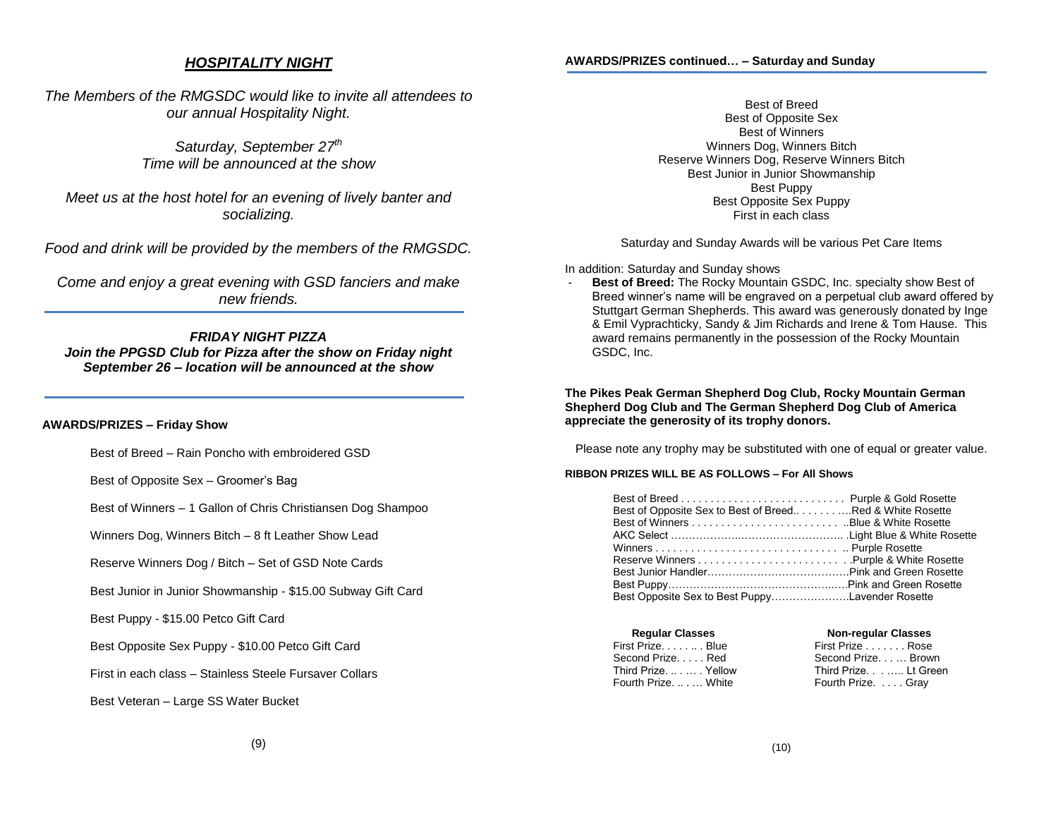### *HOSPITALITY NIGHT*

*The Members of the RMGSDC would like to invite all attendees to our annual Hospitality Night.*

> *Saturday, September 27th Time will be announced at the show*

*Meet us at the host hotel for an evening of lively banter and socializing.*

*Food and drink will be provided by the members of the RMGSDC.*

*Come and enjoy a great evening with GSD fanciers and make new friends.*

## *FRIDAY NIGHT PIZZA*

*Join the PPGSD Club for Pizza after the show on Friday night September 26 – location will be announced at the show*

#### **AWARDS/PRIZES – Friday Show**

Best of Breed – Rain Poncho with embroidered GSD

Best of Opposite Sex – Groomer's Bag

Best of Winners – 1 Gallon of Chris Christiansen Dog Shampoo

Winners Dog, Winners Bitch – 8 ft Leather Show Lead

Reserve Winners Dog / Bitch – Set of GSD Note Cards

Best Junior in Junior Showmanship - \$15.00 Subway Gift Card

Best Puppy - \$15.00 Petco Gift Card

Best Opposite Sex Puppy - \$10.00 Petco Gift Card

First in each class – Stainless Steele Fursaver Collars

Best Veteran – Large SS Water Bucket

Best of Breed Best of Opposite Sex Best of Winners Winners Dog, Winners Bitch Reserve Winners Dog, Reserve Winners Bitch Best Junior in Junior Showmanship Best Puppy Best Opposite Sex Puppy First in each class

Saturday and Sunday Awards will be various Pet Care Items

In addition: Saturday and Sunday shows

- **Best of Breed:** The Rocky Mountain GSDC, Inc. specialty show Best of Breed winner's name will be engraved on a perpetual club award offered by Stuttgart German Shepherds. This award was generously donated by Inge & Emil Vyprachticky, Sandy & Jim Richards and Irene & Tom Hause. This award remains permanently in the possession of the Rocky Mountain GSDC, Inc.

**The Pikes Peak German Shepherd Dog Club, Rocky Mountain German Shepherd Dog Club and The German Shepherd Dog Club of America appreciate the generosity of its trophy donors.** 

Please note any trophy may be substituted with one of equal or greater value.

#### **RIBBON PRIZES WILL BE AS FOLLOWS – For All Shows**

| Best of Opposite Sex to Best of BreedRed & White Rosette |  |
|----------------------------------------------------------|--|
|                                                          |  |
|                                                          |  |
|                                                          |  |
|                                                          |  |
|                                                          |  |
|                                                          |  |
| Best Opposite Sex to Best PuppyLavender Rosette          |  |

| <b>Regular Classes</b> | <b>Non-regular Classes</b> |  |
|------------------------|----------------------------|--|
| First PrizeBlue        | First Prize Rose           |  |
| Second Prize Red       | Second Prize Brown         |  |
| Third PrizeYellow      | Third Prize Lt Green       |  |
| Fourth Prize.  White   | Fourth Prize. Gray         |  |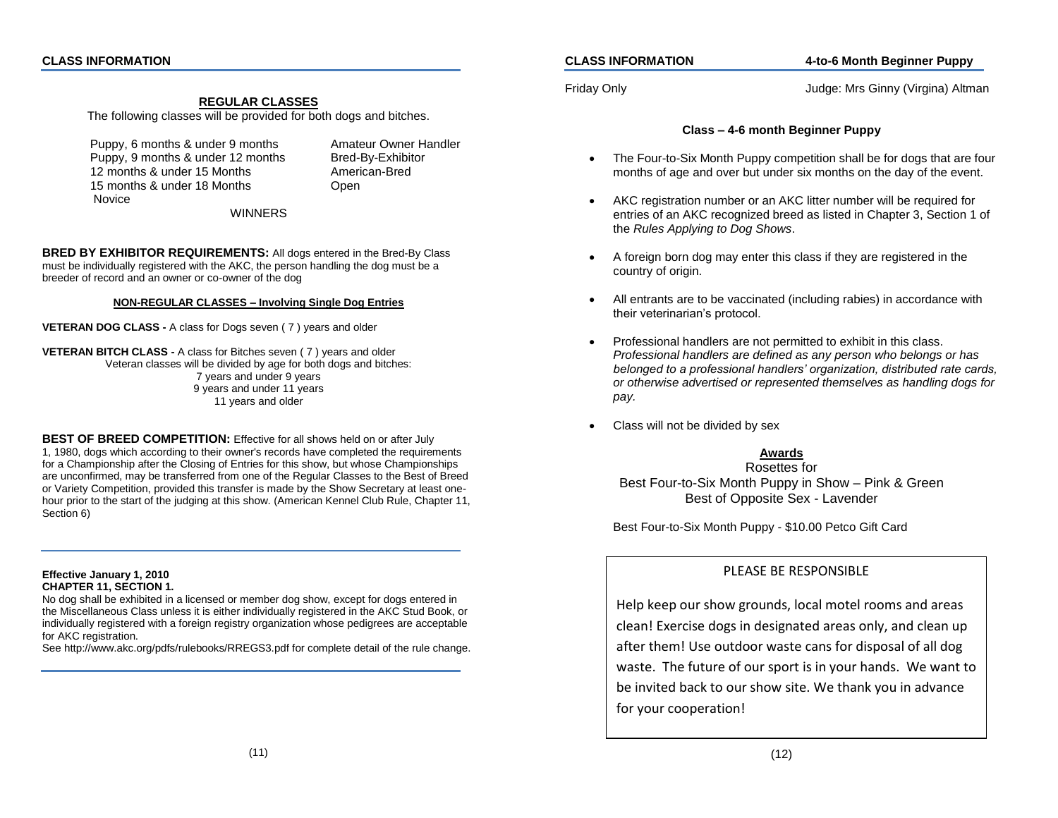### **REGULAR CLASSES**

The following classes will be provided for both dogs and bitches.

Puppy, 6 months & under 9 months Amateur Owner Handler Puppy, 9 months & under 12 months Bred-By-Exhibitor 12 months & under 15 Months American-Bred 15 months & under 18 Months Open Novice

WINNERS

**BRED BY EXHIBITOR REQUIREMENTS:** All dogs entered in the Bred-By Class must be individually registered with the AKC, the person handling the dog must be a breeder of record and an owner or co-owner of the dog

### **NON-REGULAR CLASSES – Involving Single Dog Entries**

**VETERAN DOG CLASS -** A class for Dogs seven ( 7 ) years and older

**VETERAN BITCH CLASS -** A class for Bitches seven ( 7 ) years and older Veteran classes will be divided by age for both dogs and bitches: 7 years and under 9 years 9 years and under 11 years 11 years and older

**BEST OF BREED COMPETITION:** Effective for all shows held on or after July 1, 1980, dogs which according to their owner's records have completed the requirements for a Championship after the Closing of Entries for this show, but whose Championships are unconfirmed, may be transferred from one of the Regular Classes to the Best of Breed or Variety Competition, provided this transfer is made by the Show Secretary at least onehour prior to the start of the judging at this show. (American Kennel Club Rule, Chapter 11, Section 6)

#### **Effective January 1, 2010 CHAPTER 11, SECTION 1.**

No dog shall be exhibited in a licensed or member dog show, except for dogs entered in the Miscellaneous Class unless it is either individually registered in the AKC Stud Book, or individually registered with a foreign registry organization whose pedigrees are acceptable for AKC registration.

See http://www.akc.org/pdfs/rulebooks/RREGS3.pdf for complete detail of the rule change.

### **CLASS INFORMATION 4-to-6 Month Beginner Puppy**

Friday Only Judge: Mrs Ginny (Virgina) Altman

### **Class – 4-6 month Beginner Puppy**

- The Four-to-Six Month Puppy competition shall be for dogs that are four months of age and over but under six months on the day of the event.
- AKC registration number or an AKC litter number will be required for entries of an AKC recognized breed as listed in Chapter 3, Section 1 of the *Rules Applying to Dog Shows*.
- A foreign born dog may enter this class if they are registered in the country of origin.
- All entrants are to be vaccinated (including rabies) in accordance with their veterinarian's protocol.
- Professional handlers are not permitted to exhibit in this class. *Professional handlers are defined as any person who belongs or has belonged to a professional handlers' organization, distributed rate cards, or otherwise advertised or represented themselves as handling dogs for pay.*
- Class will not be divided by sex

## **Awards**

Rosettes for Best Four-to-Six Month Puppy in Show – Pink & Green Best of Opposite Sex - Lavender

Best Four-to-Six Month Puppy - \$10.00 Petco Gift Card

## PLEASE BE RESPONSIBLE

Help keep our show grounds, local motel rooms and areas clean! Exercise dogs in designated areas only, and clean up after them! Use outdoor waste cans for disposal of all dog waste. The future of our sport is in your hands. We want to be invited back to our show site. We thank you in advance for your cooperation!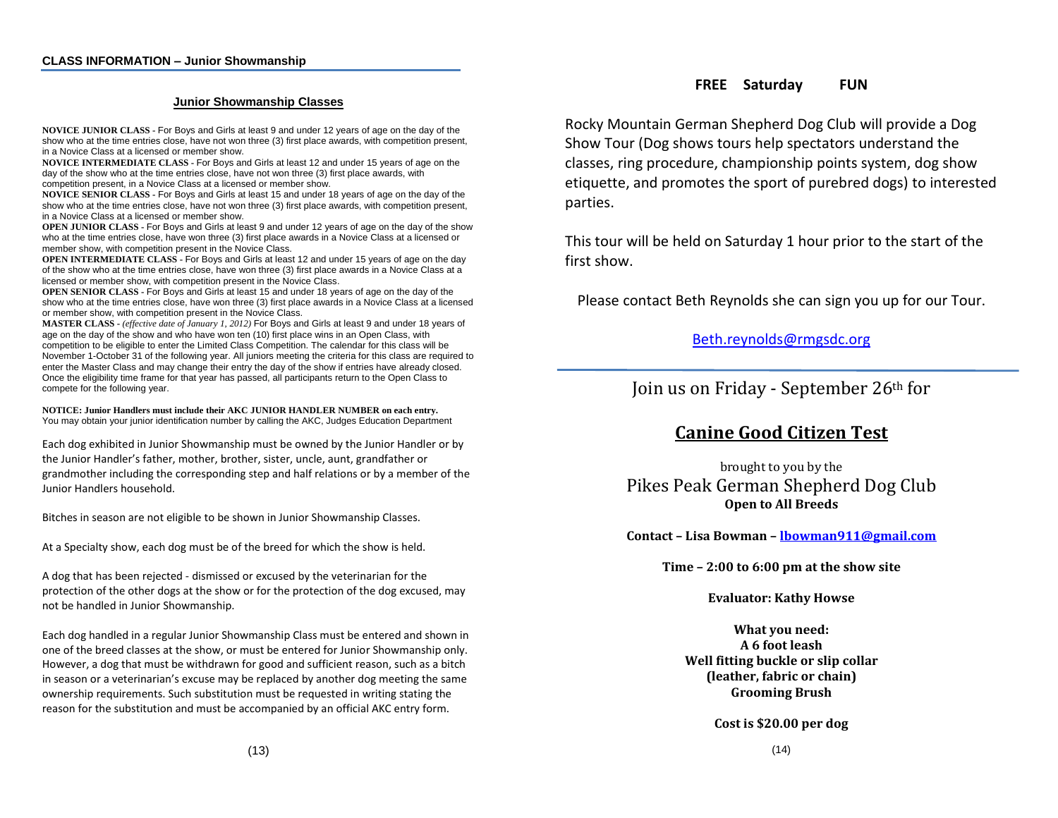### **Junior Showmanship Classes**

**NOVICE JUNIOR CLASS -** For Boys and Girls at least 9 and under 12 years of age on the day of the show who at the time entries close, have not won three (3) first place awards, with competition present, in a Novice Class at a licensed or member show.

**NOVICE INTERMEDIATE CLASS -** For Boys and Girls at least 12 and under 15 years of age on the day of the show who at the time entries close, have not won three (3) first place awards, with competition present, in a Novice Class at a licensed or member show.

**NOVICE SENIOR CLASS -** For Boys and Girls at least 15 and under 18 years of age on the day of the show who at the time entries close, have not won three (3) first place awards, with competition present, in a Novice Class at a licensed or member show.

**OPEN JUNIOR CLASS -** For Boys and Girls at least 9 and under 12 years of age on the day of the show who at the time entries close, have won three (3) first place awards in a Novice Class at a licensed or member show, with competition present in the Novice Class.

**OPEN INTERMEDIATE CLASS -** For Boys and Girls at least 12 and under 15 years of age on the day of the show who at the time entries close, have won three (3) first place awards in a Novice Class at a licensed or member show, with competition present in the Novice Class.

**OPEN SENIOR CLASS -** For Boys and Girls at least 15 and under 18 years of age on the day of the show who at the time entries close, have won three (3) first place awards in a Novice Class at a licensed or member show, with competition present in the Novice Class.

**MASTER CLASS -** *(effective date of January 1, 2012)* For Boys and Girls at least 9 and under 18 years of age on the day of the show and who have won ten (10) first place wins in an Open Class, with competition to be eligible to enter the Limited Class Competition. The calendar for this class will be November 1-October 31 of the following year. All juniors meeting the criteria for this class are required to enter the Master Class and may change their entry the day of the show if entries have already closed. Once the eligibility time frame for that year has passed, all participants return to the Open Class to compete for the following year.

**NOTICE: Junior Handlers must include their AKC JUNIOR HANDLER NUMBER on each entry.** You may obtain your junior identification number by calling the AKC, Judges Education Department

Each dog exhibited in Junior Showmanship must be owned by the Junior Handler or by the Junior Handler's father, mother, brother, sister, uncle, aunt, grandfather or grandmother including the corresponding step and half relations or by a member of the Junior Handlers household.

Bitches in season are not eligible to be shown in Junior Showmanship Classes.

At a Specialty show, each dog must be of the breed for which the show is held.

A dog that has been rejected - dismissed or excused by the veterinarian for the protection of the other dogs at the show or for the protection of the dog excused, may not be handled in Junior Showmanship.

Each dog handled in a regular Junior Showmanship Class must be entered and shown in one of the breed classes at the show, or must be entered for Junior Showmanship only. However, a dog that must be withdrawn for good and sufficient reason, such as a bitch in season or a veterinarian's excuse may be replaced by another dog meeting the same ownership requirements. Such substitution must be requested in writing stating the reason for the substitution and must be accompanied by an official AKC entry form.

Rocky Mountain German Shepherd Dog Club will provide a Dog Show Tour (Dog shows tours help spectators understand the classes, ring procedure, championship points system, dog show etiquette, and promotes the sport of purebred dogs) to interested parties.

This tour will be held on Saturday 1 hour prior to the start of the first show.

Please contact Beth Reynolds she can sign you up for our Tour.

## [Beth.reynolds@rmgsdc.org](mailto:Beth.reynolds@rmgsdc.org)

Join us on Friday - September 26th for

# **Canine Good Citizen Test**

brought to you by the Pikes Peak German Shepherd Dog Club **Open to All Breeds**

**Contact – Lisa Bowman – [lbowman911@gmail.com](mailto:lbowman911@gmail.com)**

**Time – 2:00 to 6:00 pm at the show site**

**Evaluator: Kathy Howse**

**What you need: A 6 foot leash Well fitting buckle or slip collar (leather, fabric or chain) Grooming Brush**

**Cost is \$20.00 per dog**